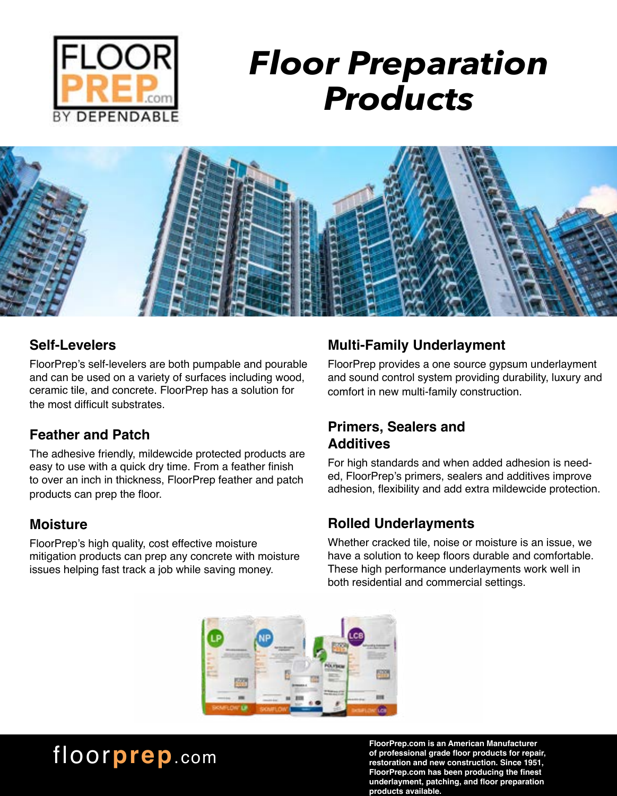

# *Floor Preparation Products*



#### **Self-Levelers**

FloorPrep's self-levelers are both pumpable and pourable and can be used on a variety of surfaces including wood, ceramic tile, and concrete. FloorPrep has a solution for the most difficult substrates.

#### **Feather and Patch**

The adhesive friendly, mildewcide protected products are easy to use with a quick dry time. From a feather finish to over an inch in thickness, FloorPrep feather and patch products can prep the floor.

#### **Moisture**

FloorPrep's high quality, cost effective moisture mitigation products can prep any concrete with moisture issues helping fast track a job while saving money.

#### **Multi-Family Underlayment**

FloorPrep provides a one source gypsum underlayment and sound control system providing durability, luxury and comfort in new multi-family construction.

#### **Primers, Sealers and Additives**

For high standards and when added adhesion is needed, FloorPrep's primers, sealers and additives improve adhesion, flexibility and add extra mildewcide protection.

#### **Rolled Underlayments**

Whether cracked tile, noise or moisture is an issue, we have a solution to keep floors durable and comfortable. These high performance underlayments work well in both residential and commercial settings.



### floor**prep**.com

**FloorPrep.com is an American Manufacturer of professional grade floor products for repair, restoration and new construction. Since 1951, FloorPrep.com has been producing the finest underlayment, patching, and floor preparation products available.**